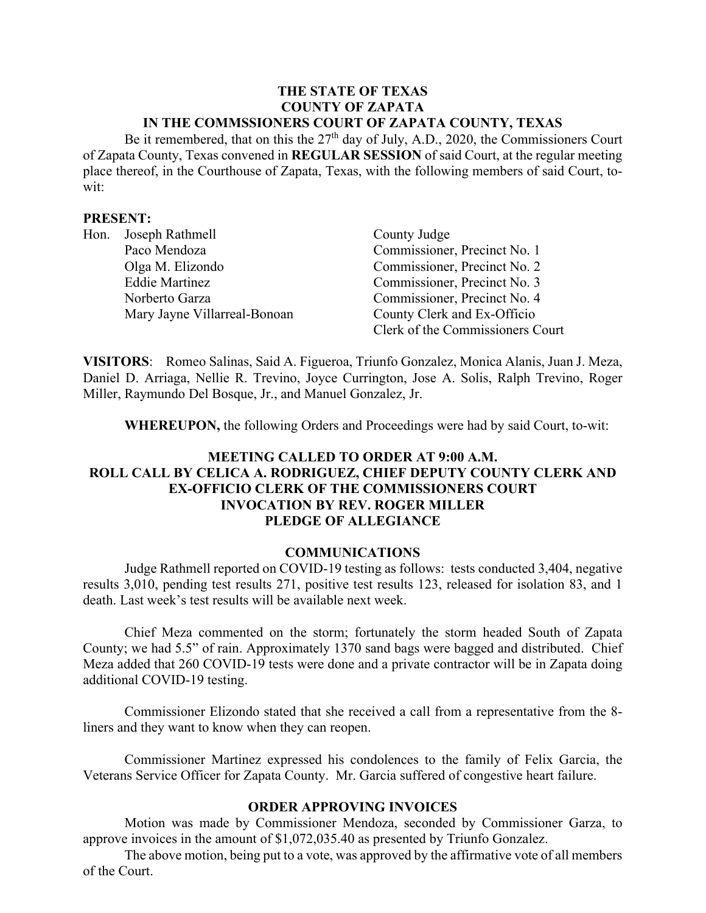#### **THE STATE OF TEXAS COUNTY OF ZAPATA IN THE COMMSSIONERS COURT OF ZAPATA COUNTY, TEXAS**

Be it remembered, that on this the  $27<sup>th</sup>$  day of July, A.D., 2020, the Commissioners Court of Zapata County, Texas convened in **REGULAR SESSION** of said Court, at the regular meeting place thereof, in the Courthouse of Zapata, Texas, with the following members of said Court, towit:

#### **PRESENT:**

|  | Hon. Joseph Rathmell         | County Judge                     |
|--|------------------------------|----------------------------------|
|  | Paco Mendoza                 | Commissioner, Precinct No. 1     |
|  | Olga M. Elizondo             | Commissioner, Precinct No. 2     |
|  | <b>Eddie Martinez</b>        | Commissioner, Precinct No. 3     |
|  | Norberto Garza               | Commissioner, Precinct No. 4     |
|  | Mary Jayne Villarreal-Bonoan | County Clerk and Ex-Officio      |
|  |                              | Clerk of the Commissioners Court |

**VISITORS**: Romeo Salinas, Said A. Figueroa, Triunfo Gonzalez, Monica Alanis, Juan J. Meza, Daniel D. Arriaga, Nellie R. Trevino, Joyce Currington, Jose A. Solis, Ralph Trevino, Roger Miller, Raymundo Del Bosque, Jr., and Manuel Gonzalez, Jr.

**WHEREUPON,** the following Orders and Proceedings were had by said Court, to-wit:

# **MEETING CALLED TO ORDER AT 9:00 A.M. ROLL CALL BY CELICA A. RODRIGUEZ, CHIEF DEPUTY COUNTY CLERK AND EX-OFFICIO CLERK OF THE COMMISSIONERS COURT INVOCATION BY REV. ROGER MILLER PLEDGE OF ALLEGIANCE**

#### **COMMUNICATIONS**

Judge Rathmell reported on COVID-19 testing as follows: tests conducted 3,404, negative results 3,010, pending test results 271, positive test results 123, released for isolation 83, and 1 death. Last week's test results will be available next week.

Chief Meza commented on the storm; fortunately the storm headed South of Zapata County; we had 5.5" of rain. Approximately 1370 sand bags were bagged and distributed. Chief Meza added that 260 COVID-19 tests were done and a private contractor will be in Zapata doing additional COVID-19 testing.

Commissioner Elizondo stated that she received a call from a representative from the 8 liners and they want to know when they can reopen.

Commissioner Martinez expressed his condolences to the family of Felix Garcia, the Veterans Service Officer for Zapata County. Mr. Garcia suffered of congestive heart failure.

#### **ORDER APPROVING INVOICES**

Motion was made by Commissioner Mendoza, seconded by Commissioner Garza, to approve invoices in the amount of \$1,072,035.40 as presented by Triunfo Gonzalez.

The above motion, being put to a vote, was approved by the affirmative vote of all members of the Court.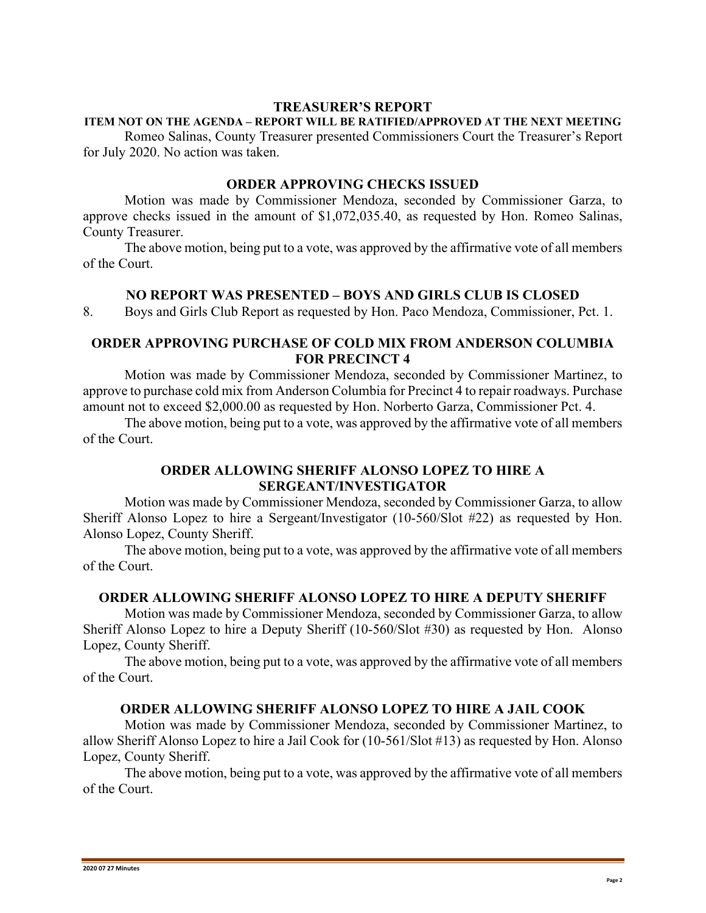#### **TREASURER'S REPORT**

#### **ITEM NOT ON THE AGENDA – REPORT WILL BE RATIFIED/APPROVED AT THE NEXT MEETING**

Romeo Salinas, County Treasurer presented Commissioners Court the Treasurer's Report for July 2020. No action was taken.

### **ORDER APPROVING CHECKS ISSUED**

Motion was made by Commissioner Mendoza, seconded by Commissioner Garza, to approve checks issued in the amount of \$1,072,035.40, as requested by Hon. Romeo Salinas, County Treasurer.

The above motion, being put to a vote, was approved by the affirmative vote of all members of the Court.

### **NO REPORT WAS PRESENTED – BOYS AND GIRLS CLUB IS CLOSED**

8. Boys and Girls Club Report as requested by Hon. Paco Mendoza, Commissioner, Pct. 1.

# **ORDER APPROVING PURCHASE OF COLD MIX FROM ANDERSON COLUMBIA FOR PRECINCT 4**

Motion was made by Commissioner Mendoza, seconded by Commissioner Martinez, to approve to purchase cold mix from Anderson Columbia for Precinct 4 to repair roadways. Purchase amount not to exceed \$2,000.00 as requested by Hon. Norberto Garza, Commissioner Pct. 4.

The above motion, being put to a vote, was approved by the affirmative vote of all members of the Court.

# **ORDER ALLOWING SHERIFF ALONSO LOPEZ TO HIRE A SERGEANT/INVESTIGATOR**

Motion was made by Commissioner Mendoza, seconded by Commissioner Garza, to allow Sheriff Alonso Lopez to hire a Sergeant/Investigator (10-560/Slot #22) as requested by Hon. Alonso Lopez, County Sheriff.

The above motion, being put to a vote, was approved by the affirmative vote of all members of the Court.

### **ORDER ALLOWING SHERIFF ALONSO LOPEZ TO HIRE A DEPUTY SHERIFF**

Motion was made by Commissioner Mendoza, seconded by Commissioner Garza, to allow Sheriff Alonso Lopez to hire a Deputy Sheriff (10-560/Slot #30) as requested by Hon. Alonso Lopez, County Sheriff.

The above motion, being put to a vote, was approved by the affirmative vote of all members of the Court.

### **ORDER ALLOWING SHERIFF ALONSO LOPEZ TO HIRE A JAIL COOK**

Motion was made by Commissioner Mendoza, seconded by Commissioner Martinez, to allow Sheriff Alonso Lopez to hire a Jail Cook for (10-561/Slot #13) as requested by Hon. Alonso Lopez, County Sheriff.

The above motion, being put to a vote, was approved by the affirmative vote of all members of the Court.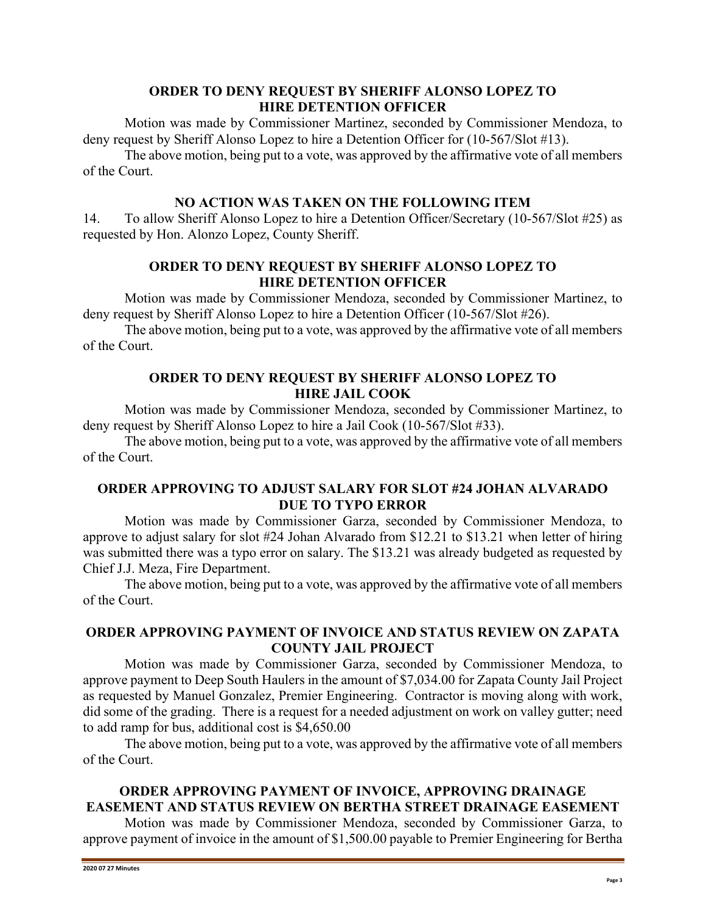# **ORDER TO DENY REQUEST BY SHERIFF ALONSO LOPEZ TO HIRE DETENTION OFFICER**

Motion was made by Commissioner Martinez, seconded by Commissioner Mendoza, to deny request by Sheriff Alonso Lopez to hire a Detention Officer for (10-567/Slot #13).

The above motion, being put to a vote, was approved by the affirmative vote of all members of the Court.

## **NO ACTION WAS TAKEN ON THE FOLLOWING ITEM**

14. To allow Sheriff Alonso Lopez to hire a Detention Officer/Secretary (10-567/Slot #25) as requested by Hon. Alonzo Lopez, County Sheriff.

## **ORDER TO DENY REQUEST BY SHERIFF ALONSO LOPEZ TO HIRE DETENTION OFFICER**

Motion was made by Commissioner Mendoza, seconded by Commissioner Martinez, to deny request by Sheriff Alonso Lopez to hire a Detention Officer (10-567/Slot #26).

The above motion, being put to a vote, was approved by the affirmative vote of all members of the Court.

# **ORDER TO DENY REQUEST BY SHERIFF ALONSO LOPEZ TO HIRE JAIL COOK**

Motion was made by Commissioner Mendoza, seconded by Commissioner Martinez, to deny request by Sheriff Alonso Lopez to hire a Jail Cook (10-567/Slot #33).

The above motion, being put to a vote, was approved by the affirmative vote of all members of the Court.

# **ORDER APPROVING TO ADJUST SALARY FOR SLOT #24 JOHAN ALVARADO DUE TO TYPO ERROR**

Motion was made by Commissioner Garza, seconded by Commissioner Mendoza, to approve to adjust salary for slot #24 Johan Alvarado from \$12.21 to \$13.21 when letter of hiring was submitted there was a typo error on salary. The \$13.21 was already budgeted as requested by Chief J.J. Meza, Fire Department.

The above motion, being put to a vote, was approved by the affirmative vote of all members of the Court.

# **ORDER APPROVING PAYMENT OF INVOICE AND STATUS REVIEW ON ZAPATA COUNTY JAIL PROJECT**

Motion was made by Commissioner Garza, seconded by Commissioner Mendoza, to approve payment to Deep South Haulers in the amount of \$7,034.00 for Zapata County Jail Project as requested by Manuel Gonzalez, Premier Engineering. Contractor is moving along with work, did some of the grading. There is a request for a needed adjustment on work on valley gutter; need to add ramp for bus, additional cost is \$4,650.00

The above motion, being put to a vote, was approved by the affirmative vote of all members of the Court.

# **ORDER APPROVING PAYMENT OF INVOICE, APPROVING DRAINAGE EASEMENT AND STATUS REVIEW ON BERTHA STREET DRAINAGE EASEMENT**

Motion was made by Commissioner Mendoza, seconded by Commissioner Garza, to approve payment of invoice in the amount of \$1,500.00 payable to Premier Engineering for Bertha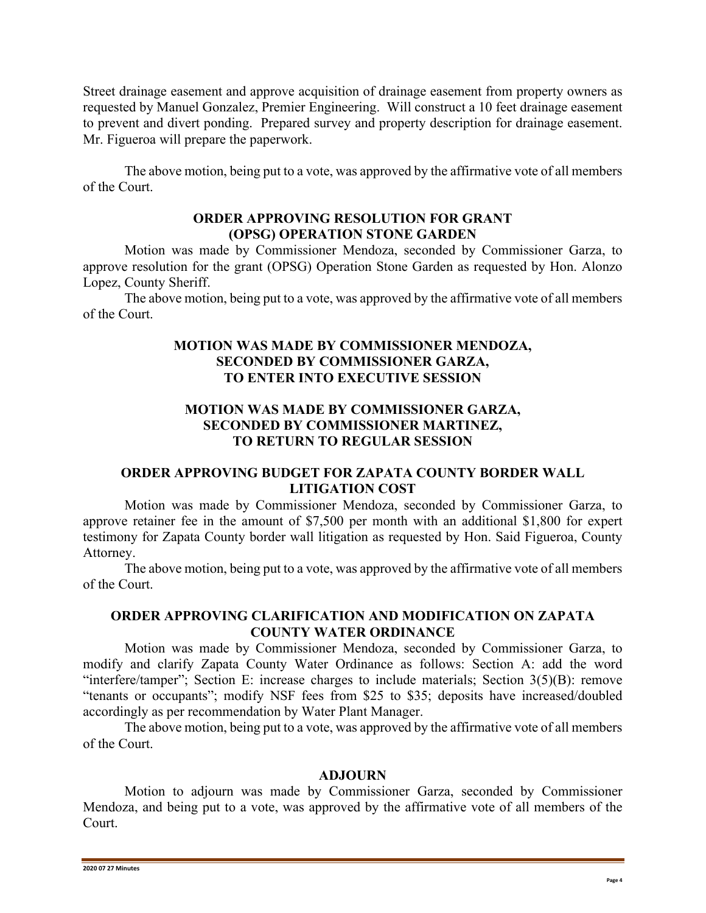Street drainage easement and approve acquisition of drainage easement from property owners as requested by Manuel Gonzalez, Premier Engineering. Will construct a 10 feet drainage easement to prevent and divert ponding. Prepared survey and property description for drainage easement. Mr. Figueroa will prepare the paperwork.

The above motion, being put to a vote, was approved by the affirmative vote of all members of the Court.

# **ORDER APPROVING RESOLUTION FOR GRANT (OPSG) OPERATION STONE GARDEN**

Motion was made by Commissioner Mendoza, seconded by Commissioner Garza, to approve resolution for the grant (OPSG) Operation Stone Garden as requested by Hon. Alonzo Lopez, County Sheriff.

The above motion, being put to a vote, was approved by the affirmative vote of all members of the Court.

# **MOTION WAS MADE BY COMMISSIONER MENDOZA, SECONDED BY COMMISSIONER GARZA, TO ENTER INTO EXECUTIVE SESSION**

# **MOTION WAS MADE BY COMMISSIONER GARZA, SECONDED BY COMMISSIONER MARTINEZ, TO RETURN TO REGULAR SESSION**

# **ORDER APPROVING BUDGET FOR ZAPATA COUNTY BORDER WALL LITIGATION COST**

Motion was made by Commissioner Mendoza, seconded by Commissioner Garza, to approve retainer fee in the amount of \$7,500 per month with an additional \$1,800 for expert testimony for Zapata County border wall litigation as requested by Hon. Said Figueroa, County Attorney.

The above motion, being put to a vote, was approved by the affirmative vote of all members of the Court.

### **ORDER APPROVING CLARIFICATION AND MODIFICATION ON ZAPATA COUNTY WATER ORDINANCE**

Motion was made by Commissioner Mendoza, seconded by Commissioner Garza, to modify and clarify Zapata County Water Ordinance as follows: Section A: add the word "interfere/tamper"; Section E: increase charges to include materials; Section 3(5)(B): remove "tenants or occupants"; modify NSF fees from \$25 to \$35; deposits have increased/doubled accordingly as per recommendation by Water Plant Manager.

The above motion, being put to a vote, was approved by the affirmative vote of all members of the Court.

### **ADJOURN**

Motion to adjourn was made by Commissioner Garza, seconded by Commissioner Mendoza, and being put to a vote, was approved by the affirmative vote of all members of the Court.